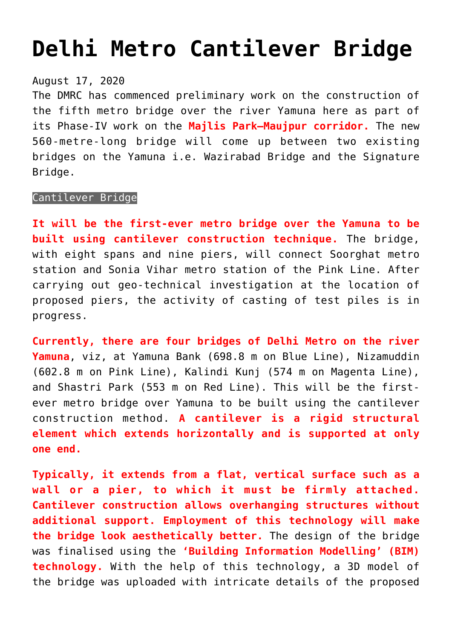## **[Delhi Metro Cantilever Bridge](https://journalsofindia.com/delhi-metro-cantilever-bridge/)**

## August 17, 2020

The DMRC has commenced preliminary work on the construction of the fifth metro bridge over the river Yamuna here as part of its Phase-IV work on the **Majlis Park–Maujpur corridor.** The new 560-metre-long bridge will come up between two existing bridges on the Yamuna i.e. Wazirabad Bridge and the Signature Bridge.

## Cantilever Bridge

**It will be the first-ever metro bridge over the Yamuna to be built using cantilever construction technique.** The bridge, with eight spans and nine piers, will connect Soorghat metro station and Sonia Vihar metro station of the Pink Line. After carrying out geo-technical investigation at the location of proposed piers, the activity of casting of test piles is in progress.

**Currently, there are four bridges of Delhi Metro on the river Yamuna**, viz, at Yamuna Bank (698.8 m on Blue Line), Nizamuddin (602.8 m on Pink Line), Kalindi Kunj (574 m on Magenta Line), and Shastri Park (553 m on Red Line). This will be the firstever metro bridge over Yamuna to be built using the cantilever construction method. **A cantilever is a rigid structural element which extends horizontally and is supported at only one end.**

**Typically, it extends from a flat, vertical surface such as a wall or a pier, to which it must be firmly attached. Cantilever construction allows overhanging structures without additional support. Employment of this technology will make the bridge look aesthetically better.** The design of the bridge was finalised using the **'Building Information Modelling' (BIM) technology.** With the help of this technology, a 3D model of the bridge was uploaded with intricate details of the proposed